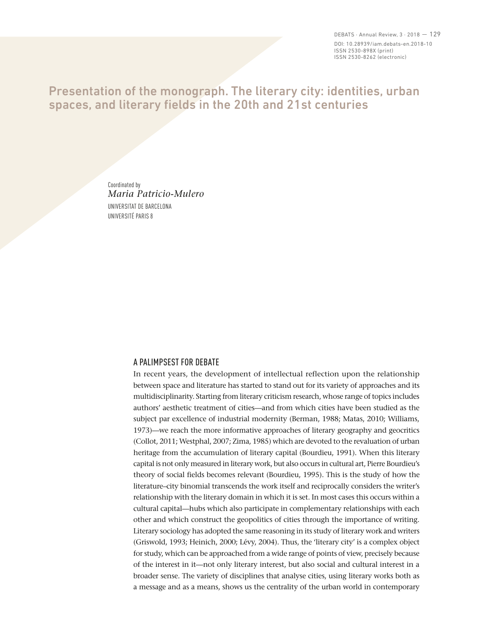DEBATS  $\cdot$  Annual Review, 3  $\cdot$  2018  $-129$ DOI: 10.28939/iam.debats-en.2018-10 ISSN 2530-898X (print) ISSN 2530-8262 (electronic)

# Presentation of the monograph. The literary city: identities, urban spaces, and literary fields in the 20th and 21st centuries

Coordinated by *Maria Patricio-Mulero* UNIVERSITAT DE BARCELONA UNIVERSITÉ PARIS 8

### A PALIMPSEST FOR DEBATE

In recent years, the development of intellectual reflection upon the relationship between space and literature has started to stand out for its variety of approaches and its multidisciplinarity. Starting from literary criticism research, whose range of topics includes authors' aesthetic treatment of cities—and from which cities have been studied as the subject par excellence of industrial modernity (Berman, 1988; Matas, 2010; Williams, 1973)—we reach the more informative approaches of literary geography and geocritics (Collot, 2011; Westphal, 2007; Zima, 1985) which are devoted to the revaluation of urban heritage from the accumulation of literary capital (Bourdieu, 1991). When this literary capital is not only measured in literary work, but also occurs in cultural art, Pierre Bourdieu's theory of social fields becomes relevant (Bourdieu, 1995). This is the study of how the literature–city binomial transcends the work itself and reciprocally considers the writer's relationship with the literary domain in which it is set. In most cases this occurs within a cultural capital—hubs which also participate in complementary relationships with each other and which construct the geopolitics of cities through the importance of writing. Literary sociology has adopted the same reasoning in its study of literary work and writers (Griswold, 1993; Heinich, 2000; Lévy, 2004). Thus, the 'literary city' is a complex object for study, which can be approached from a wide range of points of view, precisely because of the interest in it—not only literary interest, but also social and cultural interest in a broader sense. The variety of disciplines that analyse cities, using literary works both as a message and as a means, shows us the centrality of the urban world in contemporary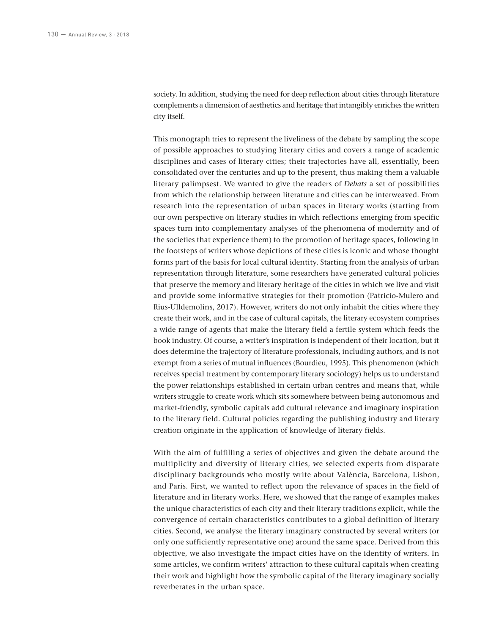society. In addition, studying the need for deep reflection about cities through literature complements a dimension of aesthetics and heritage that intangibly enriches the written city itself.

This monograph tries to represent the liveliness of the debate by sampling the scope of possible approaches to studying literary cities and covers a range of academic disciplines and cases of literary cities; their trajectories have all, essentially, been consolidated over the centuries and up to the present, thus making them a valuable literary palimpsest. We wanted to give the readers of *Debats* a set of possibilities from which the relationship between literature and cities can be interweaved. From research into the representation of urban spaces in literary works (starting from our own perspective on literary studies in which reflections emerging from specific spaces turn into complementary analyses of the phenomena of modernity and of the societies that experience them) to the promotion of heritage spaces, following in the footsteps of writers whose depictions of these cities is iconic and whose thought forms part of the basis for local cultural identity. Starting from the analysis of urban representation through literature, some researchers have generated cultural policies that preserve the memory and literary heritage of the cities in which we live and visit and provide some informative strategies for their promotion (Patricio-Mulero and Rius-Ulldemolins, 2017). However, writers do not only inhabit the cities where they create their work, and in the case of cultural capitals, the literary ecosystem comprises a wide range of agents that make the literary field a fertile system which feeds the book industry. Of course, a writer's inspiration is independent of their location, but it does determine the trajectory of literature professionals, including authors, and is not exempt from a series of mutual influences (Bourdieu, 1995). This phenomenon (which receives special treatment by contemporary literary sociology) helps us to understand the power relationships established in certain urban centres and means that, while writers struggle to create work which sits somewhere between being autonomous and market-friendly, symbolic capitals add cultural relevance and imaginary inspiration to the literary field. Cultural policies regarding the publishing industry and literary creation originate in the application of knowledge of literary fields.

With the aim of fulfilling a series of objectives and given the debate around the multiplicity and diversity of literary cities, we selected experts from disparate disciplinary backgrounds who mostly write about València, Barcelona, Lisbon, and Paris. First, we wanted to reflect upon the relevance of spaces in the field of literature and in literary works. Here, we showed that the range of examples makes the unique characteristics of each city and their literary traditions explicit, while the convergence of certain characteristics contributes to a global definition of literary cities. Second, we analyse the literary imaginary constructed by several writers (or only one sufficiently representative one) around the same space. Derived from this objective, we also investigate the impact cities have on the identity of writers. In some articles, we confirm writers' attraction to these cultural capitals when creating their work and highlight how the symbolic capital of the literary imaginary socially reverberates in the urban space.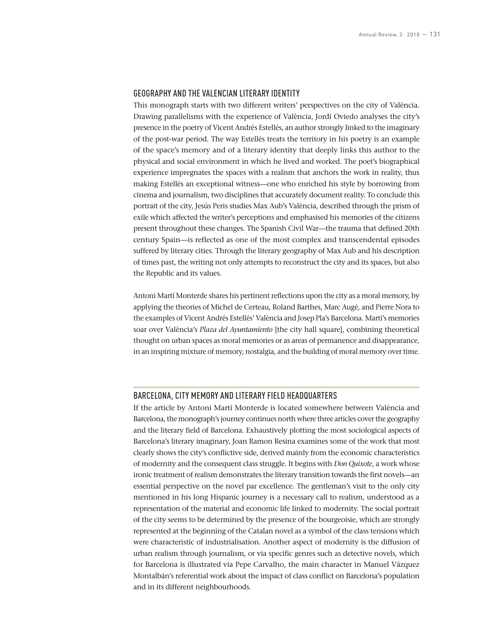#### GEOGRAPHY AND THE VALENCIAN LITERARY IDENTITY

This monograph starts with two different writers' perspectives on the city of València. Drawing parallelisms with the experience of València, Jordi Oviedo analyses the city's presence in the poetry of Vicent Andrés Estellés, an author strongly linked to the imaginary of the post-war period. The way Estellés treats the territory in his poetry is an example of the space's memory and of a literary identity that deeply links this author to the physical and social environment in which he lived and worked. The poet's biographical experience impregnates the spaces with a realism that anchors the work in reality, thus making Estellés an exceptional witness—one who enriched his style by borrowing from cinema and journalism, two disciplines that accurately document reality. To conclude this portrait of the city, Jesús Peris studies Max Aub's València, described through the prism of exile which affected the writer's perceptions and emphasised his memories of the citizens present throughout these changes. The Spanish Civil War—the trauma that defined 20th century Spain—is reflected as one of the most complex and transcendental episodes suffered by literary cities. Through the literary geography of Max Aub and his description of times past, the writing not only attempts to reconstruct the city and its spaces, but also the Republic and its values.

Antoni Martí Monterde shares his pertinent reflections upon the city as a moral memory, by applying the theories of Michel de Certeau, Roland Barthes, Marc Augé, and Pierre Nora to the examples of Vicent Andrés Estellés' València and Josep Pla's Barcelona. Martí's memories soar over València's *Plaza del Ayuntamiento* [the city hall square], combining theoretical thought on urban spaces as moral memories or as areas of permanence and disappearance, in an inspiring mixture of memory, nostalgia, and the building of moral memory over time.

#### BARCELONA, CITY MEMORY AND LITERARY FIELD HEADQUARTERS

If the article by Antoni Martí Monterde is located somewhere between València and Barcelona, the monograph's journey continues north where three articles cover the geography and the literary field of Barcelona. Exhaustively plotting the most sociological aspects of Barcelona's literary imaginary, Joan Ramon Resina examines some of the work that most clearly shows the city's conflictive side, derived mainly from the economic characteristics of modernity and the consequent class struggle. It begins with *Don Quixote*, a work whose ironic treatment of realism demonstrates the literary transition towards the first novels—an essential perspective on the novel par excellence. The gentleman's visit to the only city mentioned in his long Hispanic journey is a necessary call to realism, understood as a representation of the material and economic life linked to modernity. The social portrait of the city seems to be determined by the presence of the bourgeoisie, which are strongly represented at the beginning of the Catalan novel as a symbol of the class tensions which were characteristic of industrialisation. Another aspect of modernity is the diffusion of urban realism through journalism, or via specific genres such as detective novels, which for Barcelona is illustrated via Pepe Carvalho, the main character in Manuel Vázquez Montalbán's referential work about the impact of class conflict on Barcelona's population and in its different neighbourhoods.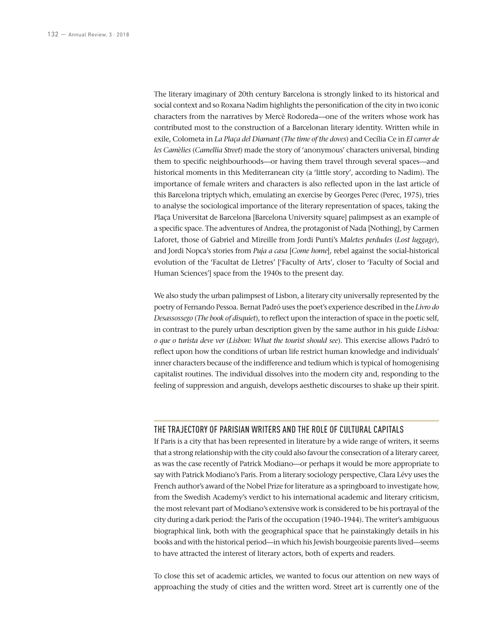The literary imaginary of 20th century Barcelona is strongly linked to its historical and social context and so Roxana Nadim highlights the personification of the city in two iconic characters from the narratives by Mercè Rodoreda—one of the writers whose work has contributed most to the construction of a Barcelonan literary identity. Written while in exile, Colometa in *La Plaça del Diamant* (*The time of the doves*) and Cecília Ce in *El carrer de les Camèlies* (*Camellia Street*) made the story of 'anonymous' characters universal, binding them to specific neighbourhoods—or having them travel through several spaces—and historical moments in this Mediterranean city (a 'little story', according to Nadim). The importance of female writers and characters is also reflected upon in the last article of this Barcelona triptych which, emulating an exercise by Georges Perec (Perec, 1975), tries to analyse the sociological importance of the literary representation of spaces, taking the Plaça Universitat de Barcelona [Barcelona University square] palimpsest as an example of a specific space. The adventures of Andrea, the protagonist of Nada [Nothing], by Carmen Laforet, those of Gabriel and Mireille from Jordi Puntí's *Maletes perdudes* (*Lost luggage*), and Jordi Nopca's stories from *Puja a casa* [*Come home*], rebel against the social-historical evolution of the 'Facultat de Lletres' ['Faculty of Arts', closer to 'Faculty of Social and Human Sciences'] space from the 1940s to the present day.

We also study the urban palimpsest of Lisbon, a literary city universally represented by the poetry of Fernando Pessoa. Bernat Padró uses the poet's experience described in the *Livro do Desassossego* (*The book of disquiet*), to reflect upon the interaction of space in the poetic self, in contrast to the purely urban description given by the same author in his guide *Lisboa: o que o turista deve ver* (*Lisbon: What the tourist should see*). This exercise allows Padró to reflect upon how the conditions of urban life restrict human knowledge and individuals' inner characters because of the indifference and tedium which is typical of homogenising capitalist routines. The individual dissolves into the modern city and, responding to the feeling of suppression and anguish, develops aesthetic discourses to shake up their spirit.

## THE TRAJECTORY OF PARISIAN WRITERS AND THE ROLE OF CULTURAL CAPITALS

If Paris is a city that has been represented in literature by a wide range of writers, it seems that a strong relationship with the city could also favour the consecration of a literary career, as was the case recently of Patrick Modiano—or perhaps it would be more appropriate to say with Patrick Modiano's Paris. From a literary sociology perspective, Clara Lévy uses the French author's award of the Nobel Prize for literature as a springboard to investigate how, from the Swedish Academy's verdict to his international academic and literary criticism, the most relevant part of Modiano's extensive work is considered to be his portrayal of the city during a dark period: the Paris of the occupation (1940–1944). The writer's ambiguous biographical link, both with the geographical space that he painstakingly details in his books and with the historical period—in which his Jewish bourgeoisie parents lived—seems to have attracted the interest of literary actors, both of experts and readers.

To close this set of academic articles, we wanted to focus our attention on new ways of approaching the study of cities and the written word. Street art is currently one of the